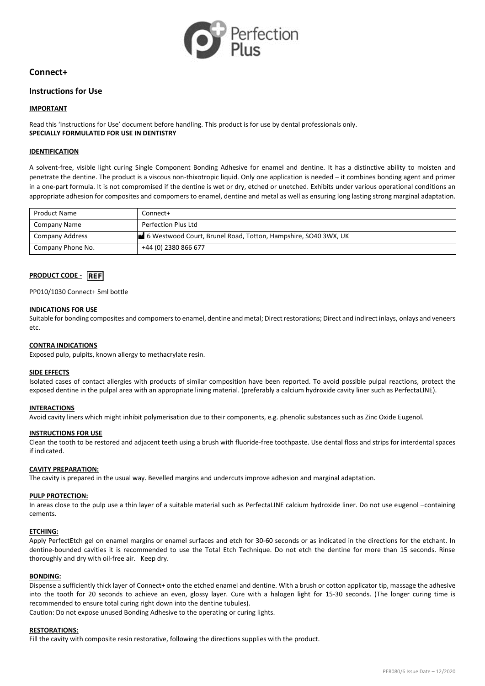

# **Connect+**

# **Instructions for Use**

### **IMPORTANT**

Read this 'Instructions for Use' document before handling. This product is for use by dental professionals only. **SPECIALLY FORMULATED FOR USE IN DENTISTRY**

### **IDENTIFICATION**

A solvent-free, visible light curing Single Component Bonding Adhesive for enamel and dentine. It has a distinctive ability to moisten and penetrate the dentine. The product is a viscous non-thixotropic liquid. Only one application is needed – it combines bonding agent and primer in a one-part formula. It is not compromised if the dentine is wet or dry, etched or unetched. Exhibits under various operational conditions an appropriate adhesion for composites and compomers to enamel, dentine and metal as well as ensuring long lasting strong marginal adaptation.

| <b>Product Name</b>    | Connect+                                                       |
|------------------------|----------------------------------------------------------------|
| Company Name           | Perfection Plus Ltd                                            |
| <b>Company Address</b> | 6 Westwood Court, Brunel Road, Totton, Hampshire, SO40 3WX, UK |
| Company Phone No.      | +44 (0) 2380 866 677                                           |

# **PRODUCT CODE -** REF

#### PP010/1030 Connect+ 5ml bottle

#### **INDICATIONS FOR USE**

Suitable for bonding composites and compomers to enamel, dentine and metal; Direct restorations; Direct and indirect inlays, onlays and veneers etc.

#### **CONTRA INDICATIONS**

Exposed pulp, pulpits, known allergy to methacrylate resin.

#### **SIDE EFFECTS**

Isolated cases of contact allergies with products of similar composition have been reported. To avoid possible pulpal reactions, protect the exposed dentine in the pulpal area with an appropriate lining material. (preferably a calcium hydroxide cavity liner such as PerfectaLINE).

#### **INTERACTIONS**

Avoid cavity liners which might inhibit polymerisation due to their components, e.g. phenolic substances such as Zinc Oxide Eugenol.

#### **INSTRUCTIONS FOR USE**

Clean the tooth to be restored and adjacent teeth using a brush with fluoride-free toothpaste. Use dental floss and strips for interdental spaces if indicated.

### **CAVITY PREPARATION:**

The cavity is prepared in the usual way. Bevelled margins and undercuts improve adhesion and marginal adaptation.

#### **PULP PROTECTION:**

In areas close to the pulp use a thin layer of a suitable material such as PerfectaLINE calcium hydroxide liner. Do not use eugenol –containing cements.

#### **ETCHING:**

Apply PerfectEtch gel on enamel margins or enamel surfaces and etch for 30-60 seconds or as indicated in the directions for the etchant. In dentine-bounded cavities it is recommended to use the Total Etch Technique. Do not etch the dentine for more than 15 seconds. Rinse thoroughly and dry with oil-free air. Keep dry.

#### **BONDING:**

Dispense a sufficiently thick layer of Connect+ onto the etched enamel and dentine. With a brush or cotton applicator tip, massage the adhesive into the tooth for 20 seconds to achieve an even, glossy layer. Cure with a halogen light for 15-30 seconds. (The longer curing time is recommended to ensure total curing right down into the dentine tubules).

Caution: Do not expose unused Bonding Adhesive to the operating or curing lights.

#### **RESTORATIONS:**

Fill the cavity with composite resin restorative, following the directions supplies with the product.